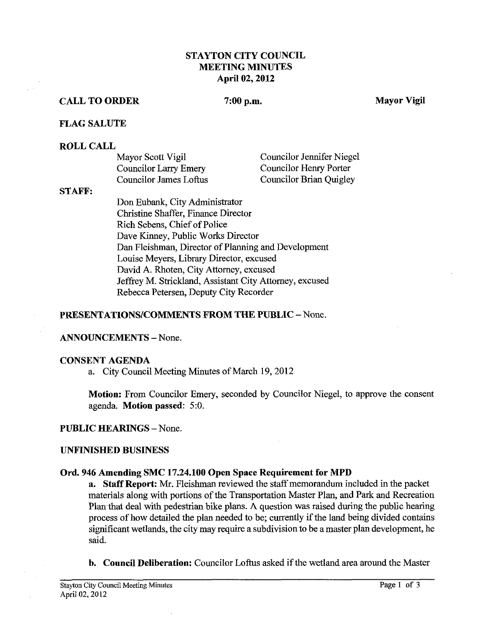# **STAYTON CITY COUNCIL MEETING MINUTES April 02,2012**

### **CALL TO ORDER**

#### $7:00$  p.m.

**Mayor Vigil** 

### **FLAG SALUTE**

#### **ROLL CALL**

| Mayor Scott Vigil            | Councilor Jennifer Niegel |
|------------------------------|---------------------------|
| <b>Councilor Larry Emery</b> | Councilor Henry Porter    |
| Councilor James Loftus       | Councilor Brian Quigley   |

### **STAFF:**

Don Eubank, City Administrator Christine Shaffer, Finance Director Rich Sebens, Chief of Police Dave Kinney, Public Works Director Dan Fleishman, Director of Planning and Development Louise Meyers, Library Director, excused David A. Rhoten, City Attorney, excused Jeffrey M. Strickland, Assistant City Attorney, excused Rebecca Petersen, Deputy City Recorder

#### **PRESENTATIONS/COMMENTS FROM THE PUBLIC - None.**

### **ANNOUNCEMENTS** -None.

#### **CONSENT AGENDA**

a. City Council Meeting Mmutes of March 19,2012

**Motion:** From Councilor Emery, seconded by Councilor Niegel, to approve the consent agenda. **Motion passed:** *5:O.* 

### **PUBLIC HEARINGS** -None.

### **UNFINISHED BUSINESS**

### **Ord. 946 Amending SMC 17.24.100 Open Space Requirement for MPD**

**a. Staff Report:** Mr. Fleishman reviewed the staff memorandum included in the packet materials along with portions of the Transportation Master Plan, and Park and Recreation Plan that deal with pedestrian bike plans. A question was raised during the public hearing process of how detailed the plan needed to be; currently if the land being divided contains significant wetlands, the city may require a subdivision to be a master plan development, he said.

**b. Council Deliberation:** Councilor Loftus asked if the wetland area around the Master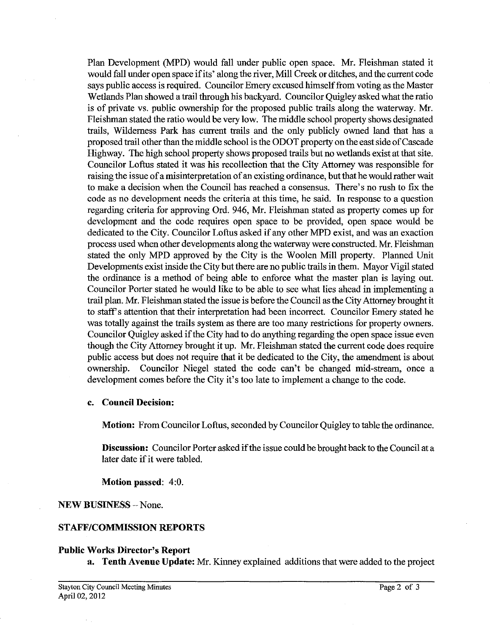Plan Development (MPD) would fall under public open space. Mr. Fleishman stated it would fall under open space if its' along the river, Mill Creek or ditches, and the current code says public access is required. Councilor Emery excused himself from voting as the Master Wetlands Plan showed a trail through his backyard. Councilor Quigley asked what the ratio is of private vs. public ownership for the proposed public trails along the waterway. Mr. Fleishman stated the ratio would be very low. The middle school property shows designated trails, Wilderness Park has current trails and the only publicly owned land that has a proposed trail other than the middle school is the ODOT property on the east side of Cascade Highway. The high school property shows proposed trails but no wetlands exist at that site. Councilor Loftus stated it was his recollection that the City Attorney was responsible for raising the issue of amisinterpretation of an existing ordinance, but that he would rather wait to make a decision when the Council has reached a consensus. There's no rush to fix the code as no development needs the criteria at this time, he said. In response to a question regarding criteria for approving Ord. 946, Mr. Fleishman stated as property comes up for development and the code requires open space to be provided, open space would be dedicated to the City. Councilor Loftus asked if any other MPD exist, and was an exaction process used when other developments along the waterway were constructed. Mr. Fleishman stated the only MPD approved by the City is the Woolen Mill property. Planned Unit Developments exist inside the City but there are no public trails in them. Mayor Vigil stated the ordinance is a method of being able to enforce what the master plan is laying out. Councilor Porter stated he would like to be able to see what lies ahead in implementing a trail plan. Mr. Fleishman stated the issue is before the Council as the City Attorney brought it to staff's attention that their interpretation had been incorrect. Councilor Emery stated he was totally against the trails system as there are too many restrictions for property owners. Councilor Quigley asked if the City had to do anything regarding the open space issue even though the City Attorney brought it up. Mr. Fleishman stated the current code does require public access but does not require that it be dedicated to the City, the amendment is about ownership. Councilor Niegel stated the code can't be changed mid-stream, once a development comes before the City it's too late to implement a change to the code.

## **c. Council Decision:**

**Motion:** From Councilor Loftus, seconded by Councilor Quigley to table the ordinance.

**Discussion:** Councilor Porter asked if the issue could be brought back to the Council at a later date if it were tabled.

### **Motion passed:** 4:O.

## **NEW BUSLNESS** -None.

## **STAFF/COMMISSION REPORTS**

### **Public Works Director's Report**

**a. Tenth Avenue Update: Mr.** Kinney explained additions that were added to the project